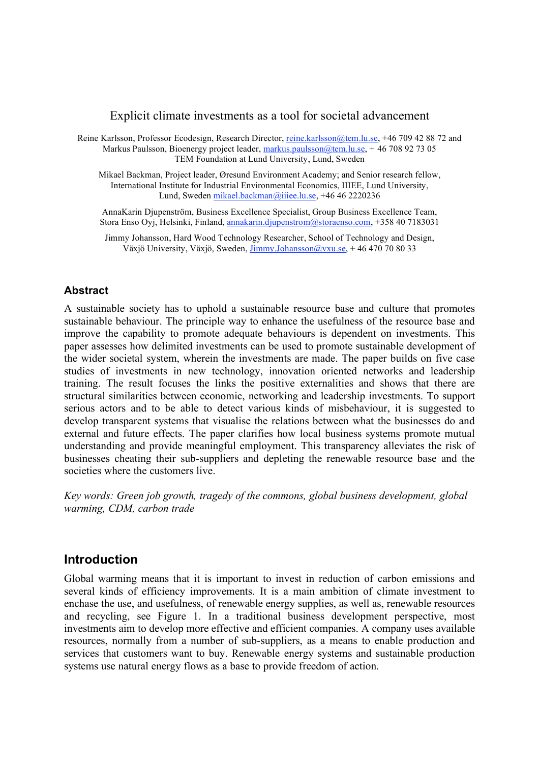#### Explicit climate investments as a tool for societal advancement

Reine Karlsson, Professor Ecodesign, Research Director, reine.karlsson@tem.lu.se, +46 709 42 88 72 and Markus Paulsson, Bioenergy project leader, markus.paulsson@tem.lu.se, +46 708 92 73 05 TEM Foundation at Lund University, Lund, Sweden

Mikael Backman, Project leader, Øresund Environment Academy; and Senior research fellow, International Institute for Industrial Environmental Economics, IIIEE, Lund University, Lund, Sweden mikael.backman@iiiee.lu.se, +46 46 2220236

AnnaKarin Djupenström, Business Excellence Specialist, Group Business Excellence Team, Stora Enso Oyj, Helsinki, Finland, annakarin.djupenstrom@storaenso.com, +358 40 7183031

Jimmy Johansson, Hard Wood Technology Researcher, School of Technology and Design, Växjö University, Växjö, Sweden, Jimmy.Johansson@vxu.se, +46 470 70 80 33

#### **Abstract**

A sustainable society has to uphold a sustainable resource base and culture that promotes sustainable behaviour. The principle way to enhance the usefulness of the resource base and improve the capability to promote adequate behaviours is dependent on investments. This paper assesses how delimited investments can be used to promote sustainable development of the wider societal system, wherein the investments are made. The paper builds on five case studies of investments in new technology, innovation oriented networks and leadership training. The result focuses the links the positive externalities and shows that there are structural similarities between economic, networking and leadership investments. To support serious actors and to be able to detect various kinds of misbehaviour, it is suggested to develop transparent systems that visualise the relations between what the businesses do and external and future effects. The paper clarifies how local business systems promote mutual understanding and provide meaningful employment. This transparency alleviates the risk of businesses cheating their sub-suppliers and depleting the renewable resource base and the societies where the customers live.

*Key words: Green job growth, tragedy of the commons, global business development, global warming, CDM, carbon trade*

## **Introduction**

Global warming means that it is important to invest in reduction of carbon emissions and several kinds of efficiency improvements. It is a main ambition of climate investment to enchase the use, and usefulness, of renewable energy supplies, as well as, renewable resources and recycling, see Figure 1. In a traditional business development perspective, most investments aim to develop more effective and efficient companies. A company uses available resources, normally from a number of sub-suppliers, as a means to enable production and services that customers want to buy. Renewable energy systems and sustainable production systems use natural energy flows as a base to provide freedom of action.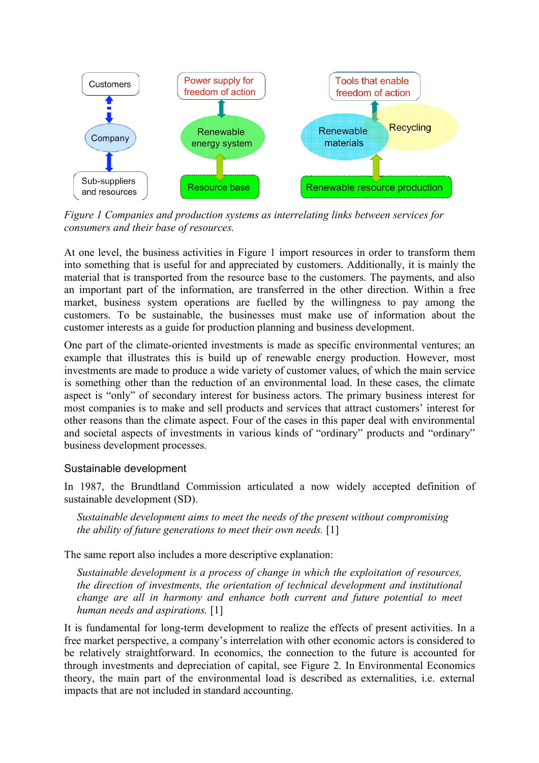

*Figure 1 Companies and production systems as interrelating links between services for consumers and their base of resources.*

At one level, the business activities in Figure 1 import resources in order to transform them into something that is useful for and appreciated by customers. Additionally, it is mainly the material that is transported from the resource base to the customers. The payments, and also an important part of the information, are transferred in the other direction. Within a free market, business system operations are fuelled by the willingness to pay among the customers. To be sustainable, the businesses must make use of information about the customer interests as a guide for production planning and business development.

One part of the climate-oriented investments is made as specific environmental ventures; an example that illustrates this is build up of renewable energy production. However, most investments are made to produce a wide variety of customer values, of which the main service is something other than the reduction of an environmental load. In these cases, the climate aspect is "only" of secondary interest for business actors. The primary business interest for most companies is to make and sell products and services that attract customers' interest for other reasons than the climate aspect. Four of the cases in this paper deal with environmental and societal aspects of investments in various kinds of "ordinary" products and "ordinary" business development processes.

## Sustainable development

In 1987, the Brundtland Commission articulated a now widely accepted definition of sustainable development (SD).

*Sustainable development aims to meet the needs of the present without compromising the ability of future generations to meet their own needs.* [1]

The same report also includes a more descriptive explanation:

*Sustainable development is a process of change in which the exploitation of resources, the direction of investments, the orientation of technical development and institutional change are all in harmony and enhance both current and future potential to meet human needs and aspirations.* [1]

It is fundamental for long-term development to realize the effects of present activities. In a free market perspective, a company's interrelation with other economic actors is considered to be relatively straightforward. In economics, the connection to the future is accounted for through investments and depreciation of capital, see Figure 2. In Environmental Economics theory, the main part of the environmental load is described as externalities, i.e. external impacts that are not included in standard accounting.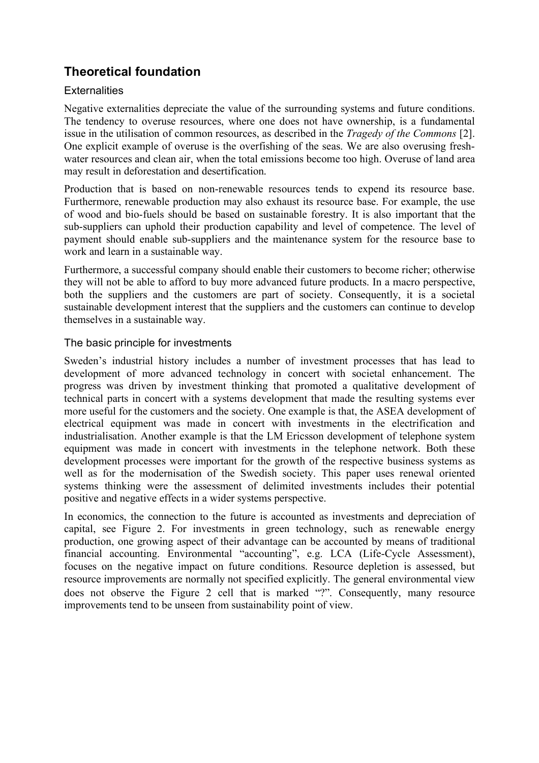# **Theoretical foundation**

## **Externalities**

Negative externalities depreciate the value of the surrounding systems and future conditions. The tendency to overuse resources, where one does not have ownership, is a fundamental issue in the utilisation of common resources, as described in the *Tragedy of the Commons* [2]. One explicit example of overuse is the overfishing of the seas. We are also overusing freshwater resources and clean air, when the total emissions become too high. Overuse of land area may result in deforestation and desertification.

Production that is based on non-renewable resources tends to expend its resource base. Furthermore, renewable production may also exhaust its resource base. For example, the use of wood and bio-fuels should be based on sustainable forestry. It is also important that the sub-suppliers can uphold their production capability and level of competence. The level of payment should enable sub-suppliers and the maintenance system for the resource base to work and learn in a sustainable way.

Furthermore, a successful company should enable their customers to become richer; otherwise they will not be able to afford to buy more advanced future products. In a macro perspective, both the suppliers and the customers are part of society. Consequently, it is a societal sustainable development interest that the suppliers and the customers can continue to develop themselves in a sustainable way.

## The basic principle for investments

Sweden's industrial history includes a number of investment processes that has lead to development of more advanced technology in concert with societal enhancement. The progress was driven by investment thinking that promoted a qualitative development of technical parts in concert with a systems development that made the resulting systems ever more useful for the customers and the society. One example is that, the ASEA development of electrical equipment was made in concert with investments in the electrification and industrialisation. Another example is that the LM Ericsson development of telephone system equipment was made in concert with investments in the telephone network. Both these development processes were important for the growth of the respective business systems as well as for the modernisation of the Swedish society. This paper uses renewal oriented systems thinking were the assessment of delimited investments includes their potential positive and negative effects in a wider systems perspective.

In economics, the connection to the future is accounted as investments and depreciation of capital, see Figure 2. For investments in green technology, such as renewable energy production, one growing aspect of their advantage can be accounted by means of traditional financial accounting. Environmental "accounting", e.g. LCA (Life-Cycle Assessment), focuses on the negative impact on future conditions. Resource depletion is assessed, but resource improvements are normally not specified explicitly. The general environmental view does not observe the Figure 2 cell that is marked "?". Consequently, many resource improvements tend to be unseen from sustainability point of view.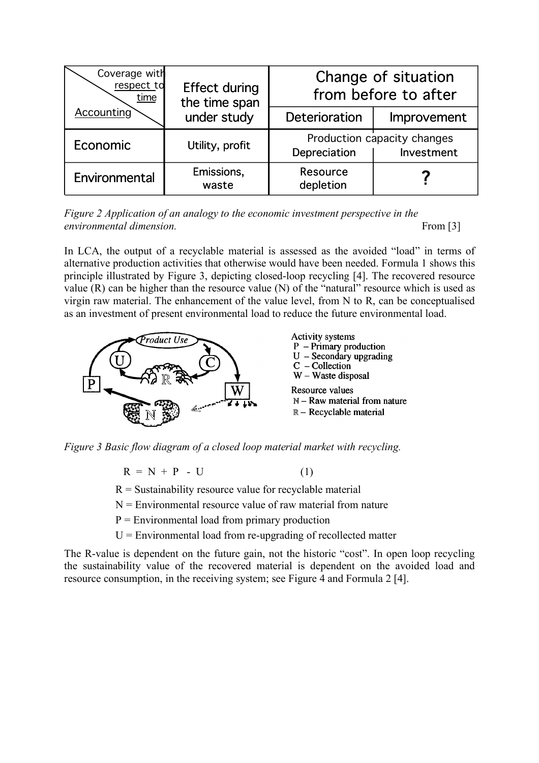| Coverage with<br>respect to<br>time | <b>Effect during</b><br>the time span | Change of situation<br>from before to after               |             |  |
|-------------------------------------|---------------------------------------|-----------------------------------------------------------|-------------|--|
| Accounting                          | under study                           | Deterioration                                             | Improvement |  |
| Economic                            | Utility, profit                       | Production capacity changes<br>Depreciation<br>Investment |             |  |
| Environmental                       | Emissions,<br>waste                   | Resource<br>depletion                                     |             |  |

*Figure 2 Application of an analogy to the economic investment perspective in the environmental dimension.* From [3]

In LCA, the output of a recyclable material is assessed as the avoided "load" in terms of alternative production activities that otherwise would have been needed. Formula 1 shows this principle illustrated by Figure 3, depicting closed-loop recycling [4]. The recovered resource value (R) can be higher than the resource value (N) of the "natural" resource which is used as virgin raw material. The enhancement of the value level, from N to R, can be conceptualised as an investment of present environmental load to reduce the future environmental load.



*Figure 3 Basic flow diagram of a closed loop material market with recycling.*

$$
R = N + P - U \tag{1}
$$

 $R =$  Sustainability resource value for recyclable material

 $N =$  Environmental resource value of raw material from nature

 $P =$  Environmental load from primary production

 $U =$  Environmental load from re-upgrading of recollected matter

The R-value is dependent on the future gain, not the historic "cost". In open loop recycling the sustainability value of the recovered material is dependent on the avoided load and resource consumption, in the receiving system; see Figure 4 and Formula 2 [4].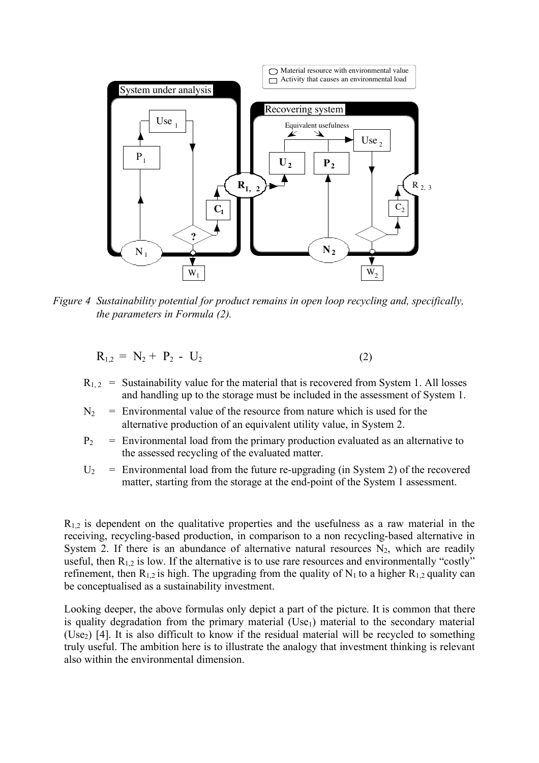

*Figure 4 Sustainability potential for product remains in open loop recycling and, specifically, the parameters in Formula (2).*

$$
R_{1,2} = N_2 + P_2 - U_2 \tag{2}
$$

- $R_{1,2}$  = Sustainability value for the material that is recovered from System 1. All losses and handling up to the storage must be included in the assessment of System 1.
- $N_2$  = Environmental value of the resource from nature which is used for the alternative production of an equivalent utility value, in System 2.
- $P_2$  = Environmental load from the primary production evaluated as an alternative to the assessed recycling of the evaluated matter.
- $U_2$  = Environmental load from the future re-upgrading (in System 2) of the recovered matter, starting from the storage at the end-point of the System 1 assessment.

 $R_{1,2}$  is dependent on the qualitative properties and the usefulness as a raw material in the receiving, recycling-based production, in comparison to a non recycling-based alternative in System 2. If there is an abundance of alternative natural resources  $N_2$ , which are readily useful, then  $R_{1,2}$  is low. If the alternative is to use rare resources and environmentally "costly" refinement, then  $R_{1,2}$  is high. The upgrading from the quality of  $N_1$  to a higher  $R_{1,2}$  quality can be conceptualised as a sustainability investment.

Looking deeper, the above formulas only depict a part of the picture. It is common that there is quality degradation from the primary material  $(Use<sub>1</sub>)$  material to the secondary material (Use<sub>2</sub>) [4]. It is also difficult to know if the residual material will be recycled to something truly useful. The ambition here is to illustrate the analogy that investment thinking is relevant also within the environmental dimension.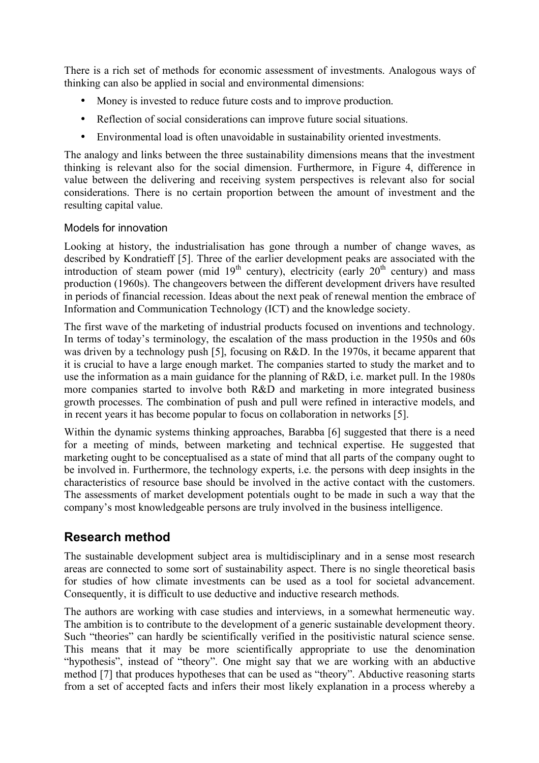There is a rich set of methods for economic assessment of investments. Analogous ways of thinking can also be applied in social and environmental dimensions:

- Money is invested to reduce future costs and to improve production.
- Reflection of social considerations can improve future social situations.
- Environmental load is often unavoidable in sustainability oriented investments.

The analogy and links between the three sustainability dimensions means that the investment thinking is relevant also for the social dimension. Furthermore, in Figure 4, difference in value between the delivering and receiving system perspectives is relevant also for social considerations. There is no certain proportion between the amount of investment and the resulting capital value.

## Models for innovation

Looking at history, the industrialisation has gone through a number of change waves, as described by Kondratieff [5]. Three of the earlier development peaks are associated with the introduction of steam power (mid  $19<sup>th</sup>$  century), electricity (early  $20<sup>th</sup>$  century) and mass production (1960s). The changeovers between the different development drivers have resulted in periods of financial recession. Ideas about the next peak of renewal mention the embrace of Information and Communication Technology (ICT) and the knowledge society.

The first wave of the marketing of industrial products focused on inventions and technology. In terms of today's terminology, the escalation of the mass production in the 1950s and 60s was driven by a technology push [5], focusing on R&D. In the 1970s, it became apparent that it is crucial to have a large enough market. The companies started to study the market and to use the information as a main guidance for the planning of R&D, i.e. market pull. In the 1980s more companies started to involve both R&D and marketing in more integrated business growth processes. The combination of push and pull were refined in interactive models, and in recent years it has become popular to focus on collaboration in networks [5].

Within the dynamic systems thinking approaches, Barabba [6] suggested that there is a need for a meeting of minds, between marketing and technical expertise. He suggested that marketing ought to be conceptualised as a state of mind that all parts of the company ought to be involved in. Furthermore, the technology experts, i.e. the persons with deep insights in the characteristics of resource base should be involved in the active contact with the customers. The assessments of market development potentials ought to be made in such a way that the company's most knowledgeable persons are truly involved in the business intelligence.

## **Research method**

The sustainable development subject area is multidisciplinary and in a sense most research areas are connected to some sort of sustainability aspect. There is no single theoretical basis for studies of how climate investments can be used as a tool for societal advancement. Consequently, it is difficult to use deductive and inductive research methods.

The authors are working with case studies and interviews, in a somewhat hermeneutic way. The ambition is to contribute to the development of a generic sustainable development theory. Such "theories" can hardly be scientifically verified in the positivistic natural science sense. This means that it may be more scientifically appropriate to use the denomination "hypothesis", instead of "theory". One might say that we are working with an abductive method [7] that produces hypotheses that can be used as "theory". Abductive reasoning starts from a set of accepted facts and infers their most likely explanation in a process whereby a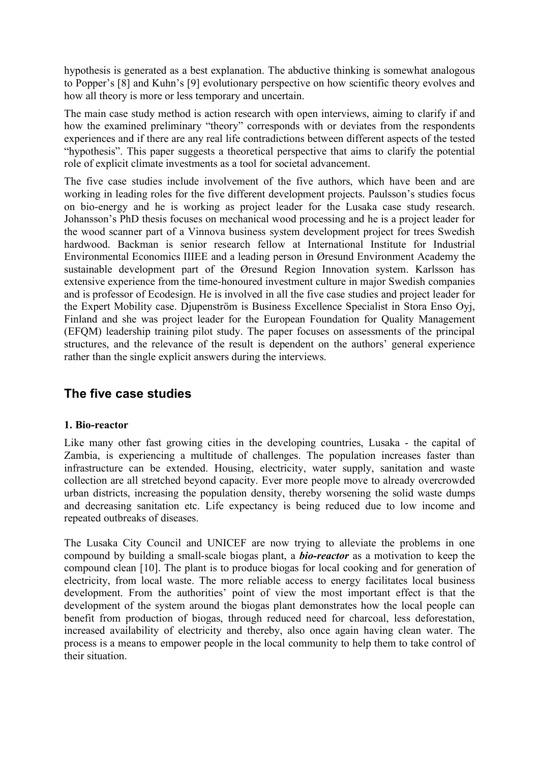hypothesis is generated as a best explanation. The abductive thinking is somewhat analogous to Popper's [8] and Kuhn's [9] evolutionary perspective on how scientific theory evolves and how all theory is more or less temporary and uncertain.

The main case study method is action research with open interviews, aiming to clarify if and how the examined preliminary "theory" corresponds with or deviates from the respondents experiences and if there are any real life contradictions between different aspects of the tested "hypothesis". This paper suggests a theoretical perspective that aims to clarify the potential role of explicit climate investments as a tool for societal advancement.

The five case studies include involvement of the five authors, which have been and are working in leading roles for the five different development projects. Paulsson's studies focus on bio-energy and he is working as project leader for the Lusaka case study research. Johansson's PhD thesis focuses on mechanical wood processing and he is a project leader for the wood scanner part of a Vinnova business system development project for trees Swedish hardwood. Backman is senior research fellow at International Institute for Industrial Environmental Economics IIIEE and a leading person in Øresund Environment Academy the sustainable development part of the Øresund Region Innovation system. Karlsson has extensive experience from the time-honoured investment culture in major Swedish companies and is professor of Ecodesign. He is involved in all the five case studies and project leader for the Expert Mobility case. Djupenström is Business Excellence Specialist in Stora Enso Oyj, Finland and she was project leader for the European Foundation for Quality Management (EFQM) leadership training pilot study. The paper focuses on assessments of the principal structures, and the relevance of the result is dependent on the authors' general experience rather than the single explicit answers during the interviews.

## **The five case studies**

## **1. Bio-reactor**

Like many other fast growing cities in the developing countries, Lusaka - the capital of Zambia, is experiencing a multitude of challenges. The population increases faster than infrastructure can be extended. Housing, electricity, water supply, sanitation and waste collection are all stretched beyond capacity. Ever more people move to already overcrowded urban districts, increasing the population density, thereby worsening the solid waste dumps and decreasing sanitation etc. Life expectancy is being reduced due to low income and repeated outbreaks of diseases.

The Lusaka City Council and UNICEF are now trying to alleviate the problems in one compound by building a small-scale biogas plant, a *bio-reactor* as a motivation to keep the compound clean [10]. The plant is to produce biogas for local cooking and for generation of electricity, from local waste. The more reliable access to energy facilitates local business development. From the authorities' point of view the most important effect is that the development of the system around the biogas plant demonstrates how the local people can benefit from production of biogas, through reduced need for charcoal, less deforestation, increased availability of electricity and thereby, also once again having clean water. The process is a means to empower people in the local community to help them to take control of their situation.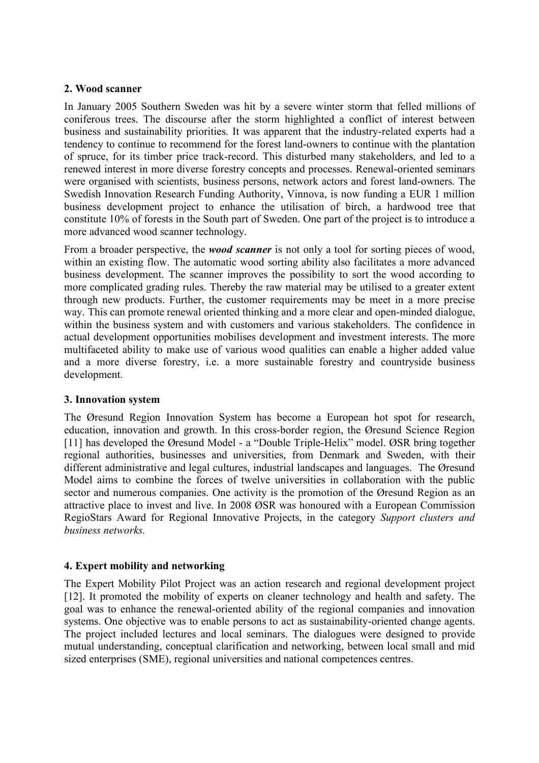#### **2. Wood scanner**

In January 2005 Southern Sweden was hit by a severe winter storm that felled millions of coniferous trees. The discourse after the storm highlighted a conflict of interest between business and sustainability priorities. It was apparent that the industry-related experts had a tendency to continue to recommend for the forest land-owners to continue with the plantation of spruce, for its timber price track-record. This disturbed many stakeholders, and led to a renewed interest in more diverse forestry concepts and processes. Renewal-oriented seminars were organised with scientists, business persons, network actors and forest land-owners. The Swedish Innovation Research Funding Authority, Vinnova, is now funding a EUR 1 million business development project to enhance the utilisation of birch, a hardwood tree that constitute 10% of forests in the South part of Sweden. One part of the project is to introduce a more advanced wood scanner technology.

From a broader perspective, the *wood scanner* is not only a tool for sorting pieces of wood, within an existing flow. The automatic wood sorting ability also facilitates a more advanced business development. The scanner improves the possibility to sort the wood according to more complicated grading rules. Thereby the raw material may be utilised to a greater extent through new products. Further, the customer requirements may be meet in a more precise way. This can promote renewal oriented thinking and a more clear and open-minded dialogue, within the business system and with customers and various stakeholders. The confidence in actual development opportunities mobilises development and investment interests. The more multifaceted ability to make use of various wood qualities can enable a higher added value and a more diverse forestry, i.e. a more sustainable forestry and countryside business development.

#### **3. Innovation system**

The Øresund Region Innovation System has become a European hot spot for research, education, innovation and growth. In this cross-border region, the Øresund Science Region [11] has developed the Øresund Model - a "Double Triple-Helix" model. ØSR bring together regional authorities, businesses and universities, from Denmark and Sweden, with their different administrative and legal cultures, industrial landscapes and languages. The Øresund Model aims to combine the forces of twelve universities in collaboration with the public sector and numerous companies. One activity is the promotion of the Øresund Region as an attractive place to invest and live. In 2008 ØSR was honoured with a European Commission RegioStars Award for Regional Innovative Projects, in the category *Support clusters and business networks.*

## **4. Expert mobility and networking**

The Expert Mobility Pilot Project was an action research and regional development project [12]. It promoted the mobility of experts on cleaner technology and health and safety. The goal was to enhance the renewal-oriented ability of the regional companies and innovation systems. One objective was to enable persons to act as sustainability-oriented change agents. The project included lectures and local seminars. The dialogues were designed to provide mutual understanding, conceptual clarification and networking, between local small and mid sized enterprises (SME), regional universities and national competences centres.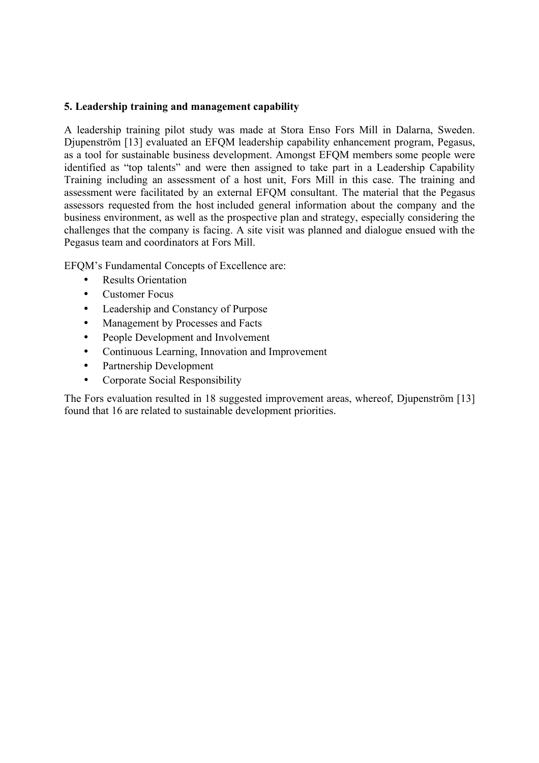### **5. Leadership training and management capability**

A leadership training pilot study was made at Stora Enso Fors Mill in Dalarna, Sweden. Djupenström [13] evaluated an EFQM leadership capability enhancement program, Pegasus, as a tool for sustainable business development. Amongst EFQM members some people were identified as "top talents" and were then assigned to take part in a Leadership Capability Training including an assessment of a host unit, Fors Mill in this case. The training and assessment were facilitated by an external EFQM consultant. The material that the Pegasus assessors requested from the host included general information about the company and the business environment, as well as the prospective plan and strategy, especially considering the challenges that the company is facing. A site visit was planned and dialogue ensued with the Pegasus team and coordinators at Fors Mill.

EFQM's Fundamental Concepts of Excellence are:

- **Results Orientation**
- Customer Focus
- Leadership and Constancy of Purpose
- Management by Processes and Facts
- People Development and Involvement
- Continuous Learning, Innovation and Improvement
- Partnership Development
- Corporate Social Responsibility

The Fors evaluation resulted in 18 suggested improvement areas, whereof, Djupenström [13] found that 16 are related to sustainable development priorities.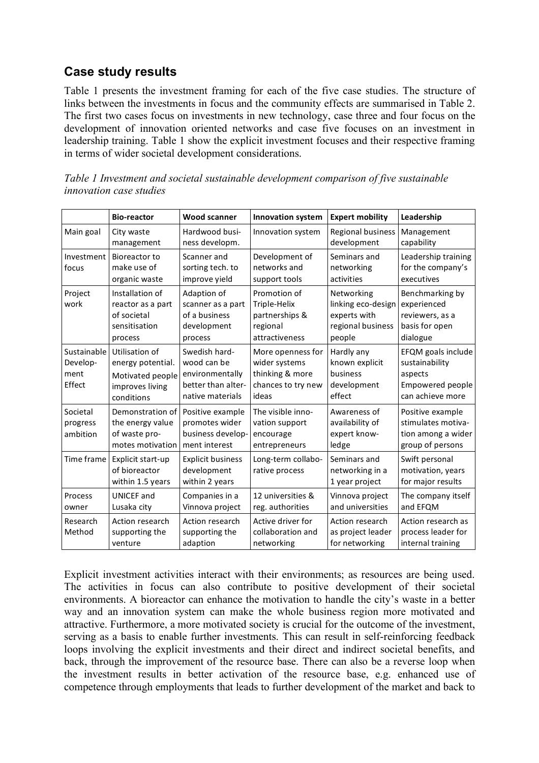## **Case study results**

Table 1 presents the investment framing for each of the five case studies. The structure of links between the investments in focus and the community effects are summarised in Table 2. The first two cases focus on investments in new technology, case three and four focus on the development of innovation oriented networks and case five focuses on an investment in leadership training. Table 1 show the explicit investment focuses and their respective framing in terms of wider societal development considerations.

*Table 1 Investment and societal sustainable development comparison of five sustainable innovation case studies*

|                                           | <b>Bio-reactor</b>                                                                       | <b>Wood scanner</b>                                                                       | <b>Innovation system</b>                                                             | <b>Expert mobility</b>                                                          | Leadership                                                                              |
|-------------------------------------------|------------------------------------------------------------------------------------------|-------------------------------------------------------------------------------------------|--------------------------------------------------------------------------------------|---------------------------------------------------------------------------------|-----------------------------------------------------------------------------------------|
| Main goal                                 | City waste<br>management                                                                 | Hardwood busi-<br>ness developm.                                                          | Innovation system                                                                    | <b>Regional business</b><br>development                                         | Management<br>capability                                                                |
| Investment<br>focus                       | Bioreactor to<br>make use of<br>organic waste                                            | Scanner and<br>sorting tech. to<br>improve yield                                          | Development of<br>networks and<br>support tools                                      | Seminars and<br>networking<br>activities                                        | Leadership training<br>for the company's<br>executives                                  |
| Project<br>work                           | Installation of<br>reactor as a part<br>of societal<br>sensitisation<br>process          | Adaption of<br>scanner as a part<br>of a business<br>development<br>process               | Promotion of<br>Triple-Helix<br>partnerships &<br>regional<br>attractiveness         | Networking<br>linking eco-design<br>experts with<br>regional business<br>people | Benchmarking by<br>experienced<br>reviewers, as a<br>basis for open<br>dialogue         |
| Sustainable<br>Develop-<br>ment<br>Effect | Utilisation of<br>energy potential.<br>Motivated people<br>improves living<br>conditions | Swedish hard-<br>wood can be<br>environmentally<br>better than alter-<br>native materials | More openness for<br>wider systems<br>thinking & more<br>chances to try new<br>ideas | Hardly any<br>known explicit<br>business<br>development<br>effect               | EFQM goals include<br>sustainability<br>aspects<br>Empowered people<br>can achieve more |
| Societal<br>progress<br>ambition          | Demonstration of<br>the energy value<br>of waste pro-<br>motes motivation                | Positive example<br>promotes wider<br>business develop-<br>ment interest                  | The visible inno-<br>vation support<br>encourage<br>entrepreneurs                    | Awareness of<br>availability of<br>expert know-<br>ledge                        | Positive example<br>stimulates motiva-<br>tion among a wider<br>group of persons        |
| Time frame                                | Explicit start-up<br>of bioreactor<br>within 1.5 years                                   | <b>Explicit business</b><br>development<br>within 2 years                                 | Long-term collabo-<br>rative process                                                 | Seminars and<br>networking in a<br>1 year project                               | Swift personal<br>motivation, years<br>for major results                                |
| Process<br>owner                          | <b>UNICEF</b> and<br>Lusaka city                                                         | Companies in a<br>Vinnova project                                                         | 12 universities &<br>reg. authorities                                                | Vinnova project<br>and universities                                             | The company itself<br>and EFQM                                                          |
| Research<br>Method                        | Action research<br>supporting the<br>venture                                             | Action research<br>supporting the<br>adaption                                             | Active driver for<br>collaboration and<br>networking                                 | <b>Action research</b><br>as project leader<br>for networking                   | Action research as<br>process leader for<br>internal training                           |

Explicit investment activities interact with their environments; as resources are being used. The activities in focus can also contribute to positive development of their societal environments. A bioreactor can enhance the motivation to handle the city's waste in a better way and an innovation system can make the whole business region more motivated and attractive. Furthermore, a more motivated society is crucial for the outcome of the investment, serving as a basis to enable further investments. This can result in self-reinforcing feedback loops involving the explicit investments and their direct and indirect societal benefits, and back, through the improvement of the resource base. There can also be a reverse loop when the investment results in better activation of the resource base, e.g. enhanced use of competence through employments that leads to further development of the market and back to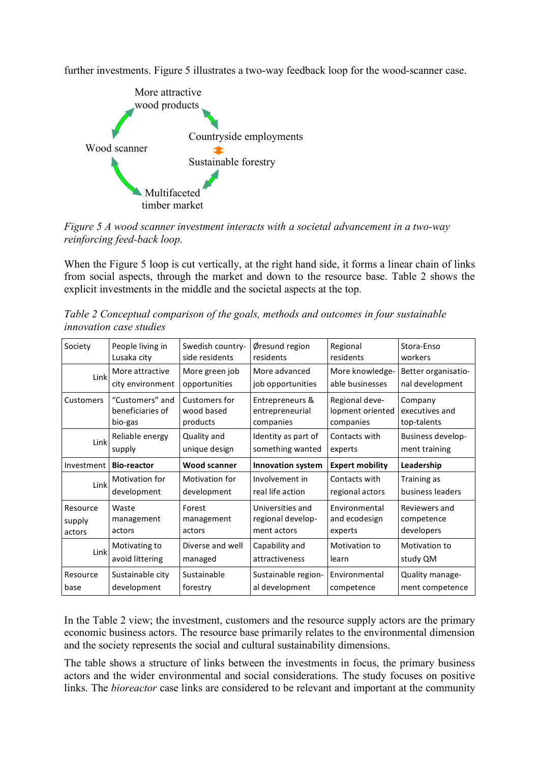further investments. Figure 5 illustrates a two-way feedback loop for the wood-scanner case.



*Figure 5 A wood scanner investment interacts with a societal advancement in a two-way reinforcing feed-back loop.*

When the Figure 5 loop is cut vertically, at the right hand side, it forms a linear chain of links from social aspects, through the market and down to the resource base. Table 2 shows the explicit investments in the middle and the societal aspects at the top.

*Table 2 Conceptual comparison of the goals, methods and outcomes in four sustainable innovation case studies*

| Society                      | People living in<br>Lusaka city                | Swedish country-<br>side residents      | Øresund region<br>residents                          | Regional<br>residents                           | Stora-Enso<br>workers                     |
|------------------------------|------------------------------------------------|-----------------------------------------|------------------------------------------------------|-------------------------------------------------|-------------------------------------------|
| Link                         | More attractive                                | More green job                          | More advanced                                        | More knowledge-                                 | Better organisatio-                       |
|                              | city environment                               | opportunities                           | job opportunities                                    | able businesses                                 | nal development                           |
| <b>Customers</b>             | "Customers" and<br>beneficiaries of<br>bio-gas | Customers for<br>wood based<br>products | Entrepreneurs &<br>entrepreneurial<br>companies      | Regional deve-<br>lopment oriented<br>companies | Company<br>executives and<br>top-talents  |
|                              | Reliable energy                                | Quality and                             | Identity as part of                                  | Contacts with                                   | Business develop-                         |
| Link                         | supply                                         | unique design                           | something wanted                                     | experts                                         | ment training                             |
| Investment                   | <b>Bio-reactor</b>                             | <b>Wood scanner</b>                     | <b>Innovation system</b>                             | <b>Expert mobility</b>                          | Leadership                                |
| Link                         | Motivation for                                 | Motivation for                          | Involvement in                                       | Contacts with                                   | Training as                               |
|                              | development                                    | development                             | real life action                                     | regional actors                                 | business leaders                          |
| Resource<br>supply<br>actors | Waste<br>management<br>actors                  | Forest<br>management<br>actors          | Universities and<br>regional develop-<br>ment actors | Environmental<br>and ecodesign<br>experts       | Reviewers and<br>competence<br>developers |
| Link                         | Motivating to<br>avoid littering               | Diverse and well<br>managed             | Capability and<br>attractiveness                     | Motivation to<br>learn                          | Motivation to<br>study QM                 |
| Resource                     | Sustainable city                               | Sustainable                             | Sustainable region-                                  | Environmental                                   | Quality manage-                           |
| base                         | development                                    | forestry                                | al development                                       | competence                                      | ment competence                           |

In the Table 2 view; the investment, customers and the resource supply actors are the primary economic business actors. The resource base primarily relates to the environmental dimension and the society represents the social and cultural sustainability dimensions.

The table shows a structure of links between the investments in focus, the primary business actors and the wider environmental and social considerations. The study focuses on positive links. The *bioreactor* case links are considered to be relevant and important at the community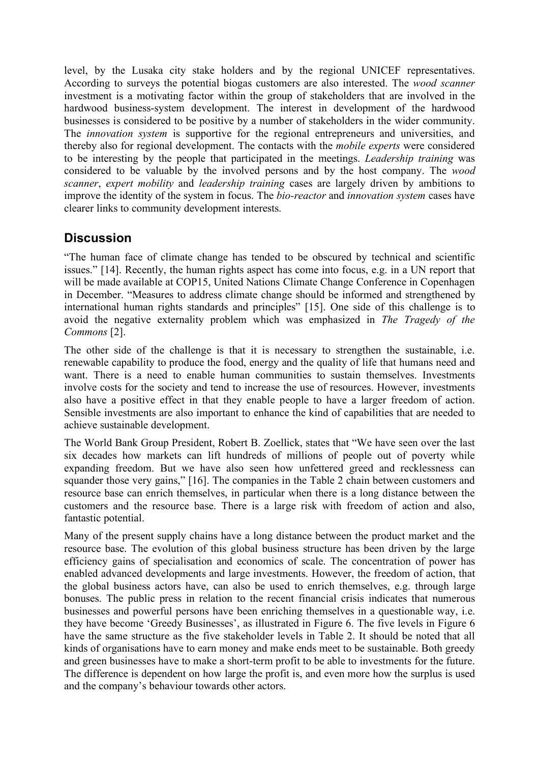level, by the Lusaka city stake holders and by the regional UNICEF representatives. According to surveys the potential biogas customers are also interested. The *wood scanner* investment is a motivating factor within the group of stakeholders that are involved in the hardwood business-system development. The interest in development of the hardwood businesses is considered to be positive by a number of stakeholders in the wider community. The *innovation system* is supportive for the regional entrepreneurs and universities, and thereby also for regional development. The contacts with the *mobile experts* were considered to be interesting by the people that participated in the meetings. *Leadership training* was considered to be valuable by the involved persons and by the host company. The *wood scanner*, *expert mobility* and *leadership training* cases are largely driven by ambitions to improve the identity of the system in focus. The *bio-reactor* and *innovation system* cases have clearer links to community development interests.

## **Discussion**

"The human face of climate change has tended to be obscured by technical and scientific issues." [14]. Recently, the human rights aspect has come into focus, e.g. in a UN report that will be made available at COP15, United Nations Climate Change Conference in Copenhagen in December. "Measures to address climate change should be informed and strengthened by international human rights standards and principles" [15]. One side of this challenge is to avoid the negative externality problem which was emphasized in *The Tragedy of the Commons* [2].

The other side of the challenge is that it is necessary to strengthen the sustainable, i.e. renewable capability to produce the food, energy and the quality of life that humans need and want. There is a need to enable human communities to sustain themselves. Investments involve costs for the society and tend to increase the use of resources. However, investments also have a positive effect in that they enable people to have a larger freedom of action. Sensible investments are also important to enhance the kind of capabilities that are needed to achieve sustainable development.

The World Bank Group President, Robert B. Zoellick, states that "We have seen over the last six decades how markets can lift hundreds of millions of people out of poverty while expanding freedom. But we have also seen how unfettered greed and recklessness can squander those very gains," [16]. The companies in the Table 2 chain between customers and resource base can enrich themselves, in particular when there is a long distance between the customers and the resource base. There is a large risk with freedom of action and also, fantastic potential.

Many of the present supply chains have a long distance between the product market and the resource base. The evolution of this global business structure has been driven by the large efficiency gains of specialisation and economics of scale. The concentration of power has enabled advanced developments and large investments. However, the freedom of action, that the global business actors have, can also be used to enrich themselves, e.g. through large bonuses. The public press in relation to the recent financial crisis indicates that numerous businesses and powerful persons have been enriching themselves in a questionable way, i.e. they have become 'Greedy Businesses', as illustrated in Figure 6. The five levels in Figure 6 have the same structure as the five stakeholder levels in Table 2. It should be noted that all kinds of organisations have to earn money and make ends meet to be sustainable. Both greedy and green businesses have to make a short-term profit to be able to investments for the future. The difference is dependent on how large the profit is, and even more how the surplus is used and the company's behaviour towards other actors.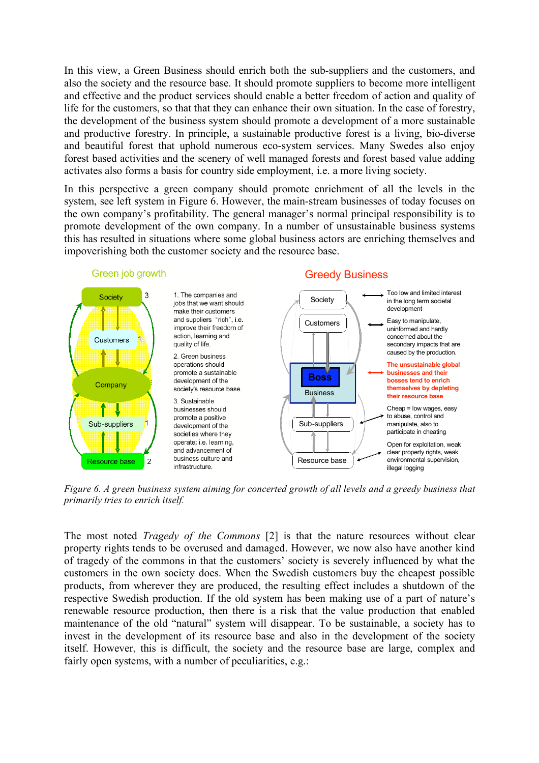In this view, a Green Business should enrich both the sub-suppliers and the customers, and also the society and the resource base. It should promote suppliers to become more intelligent and effective and the product services should enable a better freedom of action and quality of life for the customers, so that that they can enhance their own situation. In the case of forestry, the development of the business system should promote a development of a more sustainable and productive forestry. In principle, a sustainable productive forest is a living, bio-diverse and beautiful forest that uphold numerous eco-system services. Many Swedes also enjoy forest based activities and the scenery of well managed forests and forest based value adding activates also forms a basis for country side employment, i.e. a more living society.

In this perspective a green company should promote enrichment of all the levels in the system, see left system in Figure 6. However, the main-stream businesses of today focuses on the own company's profitability. The general manager's normal principal responsibility is to promote development of the own company. In a number of unsustainable business systems this has resulted in situations where some global business actors are enriching themselves and impoverishing both the customer society and the resource base.



*Figure 6. A green business system aiming for concerted growth of all levels and a greedy business that primarily tries to enrich itself.*

The most noted *Tragedy of the Commons* [2] is that the nature resources without clear property rights tends to be overused and damaged. However, we now also have another kind of tragedy of the commons in that the customers' society is severely influenced by what the customers in the own society does. When the Swedish customers buy the cheapest possible products, from wherever they are produced, the resulting effect includes a shutdown of the respective Swedish production. If the old system has been making use of a part of nature's renewable resource production, then there is a risk that the value production that enabled maintenance of the old "natural" system will disappear. To be sustainable, a society has to invest in the development of its resource base and also in the development of the society itself. However, this is difficult, the society and the resource base are large, complex and fairly open systems, with a number of peculiarities, e.g.: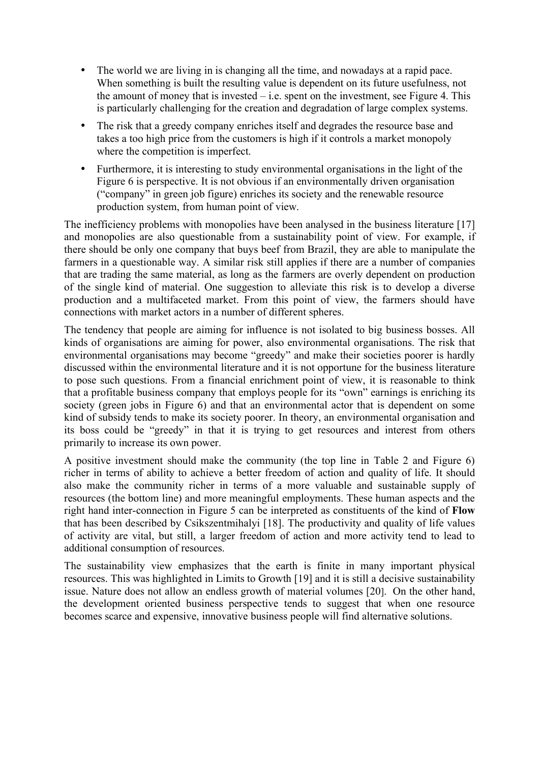- The world we are living in is changing all the time, and nowadays at a rapid pace. When something is built the resulting value is dependent on its future usefulness, not the amount of money that is invested  $-$  i.e. spent on the investment, see Figure 4. This is particularly challenging for the creation and degradation of large complex systems.
- The risk that a greedy company enriches itself and degrades the resource base and takes a too high price from the customers is high if it controls a market monopoly where the competition is imperfect.
- Furthermore, it is interesting to study environmental organisations in the light of the Figure 6 is perspective. It is not obvious if an environmentally driven organisation ("company" in green job figure) enriches its society and the renewable resource production system, from human point of view.

The inefficiency problems with monopolies have been analysed in the business literature [17] and monopolies are also questionable from a sustainability point of view. For example, if there should be only one company that buys beef from Brazil, they are able to manipulate the farmers in a questionable way. A similar risk still applies if there are a number of companies that are trading the same material, as long as the farmers are overly dependent on production of the single kind of material. One suggestion to alleviate this risk is to develop a diverse production and a multifaceted market. From this point of view, the farmers should have connections with market actors in a number of different spheres.

The tendency that people are aiming for influence is not isolated to big business bosses. All kinds of organisations are aiming for power, also environmental organisations. The risk that environmental organisations may become "greedy" and make their societies poorer is hardly discussed within the environmental literature and it is not opportune for the business literature to pose such questions. From a financial enrichment point of view, it is reasonable to think that a profitable business company that employs people for its "own" earnings is enriching its society (green jobs in Figure 6) and that an environmental actor that is dependent on some kind of subsidy tends to make its society poorer. In theory, an environmental organisation and its boss could be "greedy" in that it is trying to get resources and interest from others primarily to increase its own power.

A positive investment should make the community (the top line in Table 2 and Figure 6) richer in terms of ability to achieve a better freedom of action and quality of life. It should also make the community richer in terms of a more valuable and sustainable supply of resources (the bottom line) and more meaningful employments. These human aspects and the right hand inter-connection in Figure 5 can be interpreted as constituents of the kind of **Flow** that has been described by Csikszentmihalyi [18]. The productivity and quality of life values of activity are vital, but still, a larger freedom of action and more activity tend to lead to additional consumption of resources.

The sustainability view emphasizes that the earth is finite in many important physical resources. This was highlighted in Limits to Growth [19] and it is still a decisive sustainability issue. Nature does not allow an endless growth of material volumes [20]. On the other hand, the development oriented business perspective tends to suggest that when one resource becomes scarce and expensive, innovative business people will find alternative solutions.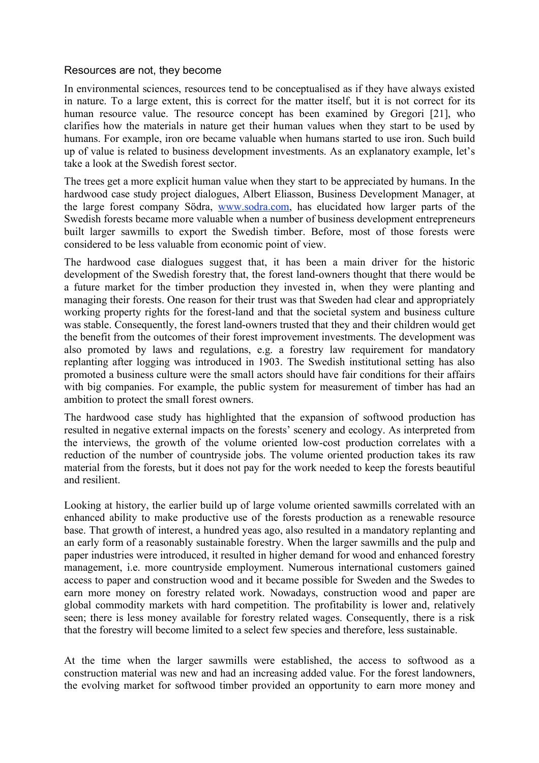#### Resources are not, they become

In environmental sciences, resources tend to be conceptualised as if they have always existed in nature. To a large extent, this is correct for the matter itself, but it is not correct for its human resource value. The resource concept has been examined by Gregori [21], who clarifies how the materials in nature get their human values when they start to be used by humans. For example, iron ore became valuable when humans started to use iron. Such build up of value is related to business development investments. As an explanatory example, let's take a look at the Swedish forest sector.

The trees get a more explicit human value when they start to be appreciated by humans. In the hardwood case study project dialogues, Albert Eliasson, Business Development Manager, at the large forest company Södra, www.sodra.com, has elucidated how larger parts of the Swedish forests became more valuable when a number of business development entrepreneurs built larger sawmills to export the Swedish timber. Before, most of those forests were considered to be less valuable from economic point of view.

The hardwood case dialogues suggest that, it has been a main driver for the historic development of the Swedish forestry that, the forest land-owners thought that there would be a future market for the timber production they invested in, when they were planting and managing their forests. One reason for their trust was that Sweden had clear and appropriately working property rights for the forest-land and that the societal system and business culture was stable. Consequently, the forest land-owners trusted that they and their children would get the benefit from the outcomes of their forest improvement investments. The development was also promoted by laws and regulations, e.g. a forestry law requirement for mandatory replanting after logging was introduced in 1903. The Swedish institutional setting has also promoted a business culture were the small actors should have fair conditions for their affairs with big companies. For example, the public system for measurement of timber has had an ambition to protect the small forest owners.

The hardwood case study has highlighted that the expansion of softwood production has resulted in negative external impacts on the forests' scenery and ecology. As interpreted from the interviews, the growth of the volume oriented low-cost production correlates with a reduction of the number of countryside jobs. The volume oriented production takes its raw material from the forests, but it does not pay for the work needed to keep the forests beautiful and resilient.

Looking at history, the earlier build up of large volume oriented sawmills correlated with an enhanced ability to make productive use of the forests production as a renewable resource base. That growth of interest, a hundred yeas ago, also resulted in a mandatory replanting and an early form of a reasonably sustainable forestry. When the larger sawmills and the pulp and paper industries were introduced, it resulted in higher demand for wood and enhanced forestry management, i.e. more countryside employment. Numerous international customers gained access to paper and construction wood and it became possible for Sweden and the Swedes to earn more money on forestry related work. Nowadays, construction wood and paper are global commodity markets with hard competition. The profitability is lower and, relatively seen; there is less money available for forestry related wages. Consequently, there is a risk that the forestry will become limited to a select few species and therefore, less sustainable.

At the time when the larger sawmills were established, the access to softwood as a construction material was new and had an increasing added value. For the forest landowners, the evolving market for softwood timber provided an opportunity to earn more money and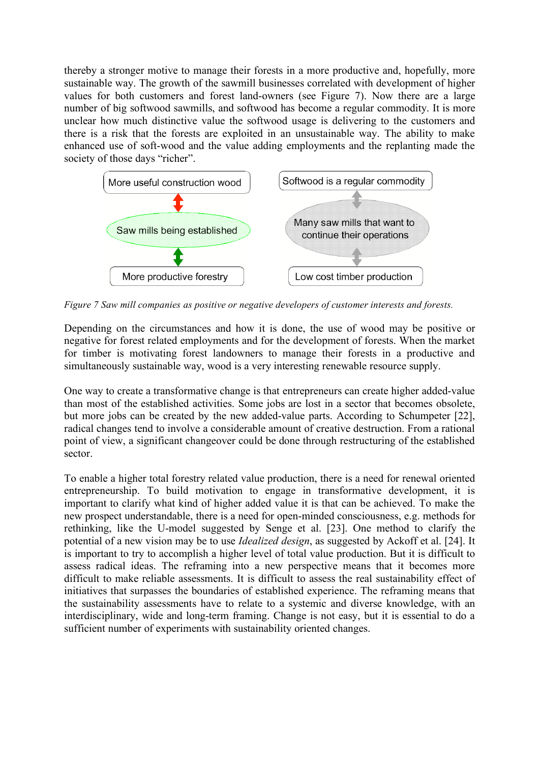thereby a stronger motive to manage their forests in a more productive and, hopefully, more sustainable way. The growth of the sawmill businesses correlated with development of higher values for both customers and forest land-owners (see Figure 7). Now there are a large number of big softwood sawmills, and softwood has become a regular commodity. It is more unclear how much distinctive value the softwood usage is delivering to the customers and there is a risk that the forests are exploited in an unsustainable way. The ability to make enhanced use of soft-wood and the value adding employments and the replanting made the society of those days "richer".



*Figure 7 Saw mill companies as positive or negative developers of customer interests and forests.*

Depending on the circumstances and how it is done, the use of wood may be positive or negative for forest related employments and for the development of forests. When the market for timber is motivating forest landowners to manage their forests in a productive and simultaneously sustainable way, wood is a very interesting renewable resource supply.

One way to create a transformative change is that entrepreneurs can create higher added-value than most of the established activities. Some jobs are lost in a sector that becomes obsolete, but more jobs can be created by the new added-value parts. According to Schumpeter [22], radical changes tend to involve a considerable amount of creative destruction. From a rational point of view, a significant changeover could be done through restructuring of the established sector.

To enable a higher total forestry related value production, there is a need for renewal oriented entrepreneurship. To build motivation to engage in transformative development, it is important to clarify what kind of higher added value it is that can be achieved. To make the new prospect understandable, there is a need for open-minded consciousness, e.g. methods for rethinking, like the U-model suggested by Senge et al. [23]. One method to clarify the potential of a new vision may be to use *Idealized design*, as suggested by Ackoff et al. [24]. It is important to try to accomplish a higher level of total value production. But it is difficult to assess radical ideas. The reframing into a new perspective means that it becomes more difficult to make reliable assessments. It is difficult to assess the real sustainability effect of initiatives that surpasses the boundaries of established experience. The reframing means that the sustainability assessments have to relate to a systemic and diverse knowledge, with an interdisciplinary, wide and long-term framing. Change is not easy, but it is essential to do a sufficient number of experiments with sustainability oriented changes.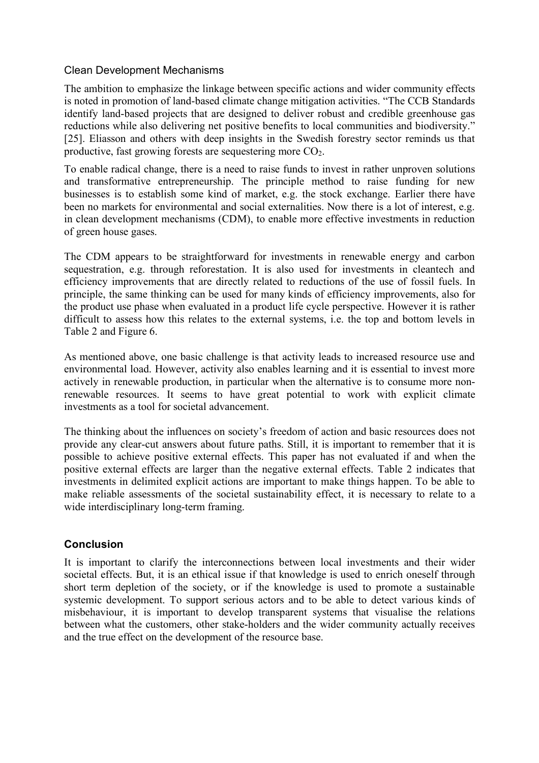## Clean Development Mechanisms

The ambition to emphasize the linkage between specific actions and wider community effects is noted in promotion of land-based climate change mitigation activities. "The CCB Standards identify land-based projects that are designed to deliver robust and credible greenhouse gas reductions while also delivering net positive benefits to local communities and biodiversity." [25]. Eliasson and others with deep insights in the Swedish forestry sector reminds us that productive, fast growing forests are sequestering more  $CO<sub>2</sub>$ .

To enable radical change, there is a need to raise funds to invest in rather unproven solutions and transformative entrepreneurship. The principle method to raise funding for new businesses is to establish some kind of market, e.g. the stock exchange. Earlier there have been no markets for environmental and social externalities. Now there is a lot of interest, e.g. in clean development mechanisms (CDM), to enable more effective investments in reduction of green house gases.

The CDM appears to be straightforward for investments in renewable energy and carbon sequestration, e.g. through reforestation. It is also used for investments in cleantech and efficiency improvements that are directly related to reductions of the use of fossil fuels. In principle, the same thinking can be used for many kinds of efficiency improvements, also for the product use phase when evaluated in a product life cycle perspective. However it is rather difficult to assess how this relates to the external systems, i.e. the top and bottom levels in Table 2 and Figure 6.

As mentioned above, one basic challenge is that activity leads to increased resource use and environmental load. However, activity also enables learning and it is essential to invest more actively in renewable production, in particular when the alternative is to consume more nonrenewable resources. It seems to have great potential to work with explicit climate investments as a tool for societal advancement.

The thinking about the influences on society's freedom of action and basic resources does not provide any clear-cut answers about future paths. Still, it is important to remember that it is possible to achieve positive external effects. This paper has not evaluated if and when the positive external effects are larger than the negative external effects. Table 2 indicates that investments in delimited explicit actions are important to make things happen. To be able to make reliable assessments of the societal sustainability effect, it is necessary to relate to a wide interdisciplinary long-term framing.

## **Conclusion**

It is important to clarify the interconnections between local investments and their wider societal effects. But, it is an ethical issue if that knowledge is used to enrich oneself through short term depletion of the society, or if the knowledge is used to promote a sustainable systemic development. To support serious actors and to be able to detect various kinds of misbehaviour, it is important to develop transparent systems that visualise the relations between what the customers, other stake-holders and the wider community actually receives and the true effect on the development of the resource base.